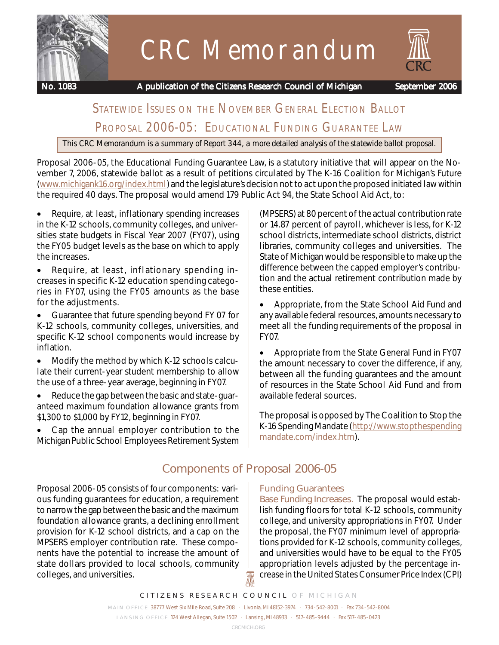

# CRC Memorandum

 **No. 1083 A publication of the Citizens Research Council of Michigan September 2006**

# STATEWIDE ISSUES ON THE NOVEMBER GENERAL ELECTION BALLOT PROPOSAL 2006-05: EDUCATIONAL FUNDING GUARANTEE LAW

*This CRC Memorandum is a summary of Report 344, a more detailed analysis of the statewide ballot proposal.*

Proposal 2006-05, the Educational Funding Guarantee Law, is a statutory initiative that will appear on the November 7, 2006, statewide ballot as a result of petitions circulated by The K-16 Coalition for Michigan's Future (www.michigank16.org/index.html) and the legislature's decision not to act upon the proposed initiated law within the required 40 days. The proposal would amend 179 Public Act 94, the State School Aid Act, to:

- Require, at least, inflationary spending increases in the K-12 schools, community colleges, and universities state budgets in Fiscal Year 2007 (FY07), using the FY05 budget levels as the base on which to apply the increases.
- Require, at least, inflationary spending increases in specific K-12 education spending categories in FY07, using the FY05 amounts as the base for the adjustments.
- Guarantee that future spending beyond FY 07 for K-12 schools, community colleges, universities, and specific K-12 school components would increase by inflation.
- Modify the method by which K-12 schools calculate their current-year student membership to allow the use of a three-year average, beginning in FY07.
- Reduce the gap between the basic and state-guaranteed maximum foundation allowance grants from \$1,300 to \$1,000 by FY12, beginning in FY07.
- Cap the annual employer contribution to the Michigan Public School Employees Retirement System

(MPSERS) at 80 percent of the actual contribution rate or 14.87 percent of payroll, whichever is less, for K-12 school districts, intermediate school districts, district libraries, community colleges and universities. The State of Michigan would be responsible to make up the difference between the capped employer's contribution and the actual retirement contribution made by these entities.

• Appropriate, from the State School Aid Fund and any available federal resources, amounts necessary to meet all the funding requirements of the proposal in FY07.

• Appropriate from the State General Fund in FY07 the amount necessary to cover the difference, if any, between all the funding guarantees and the amount of resources in the State School Aid Fund and from available federal sources.

The proposal is opposed by The Coalition to Stop the K-16 Spending Mandate (http://www.stopthespending mandate.com/index.htm).

# **Components of Proposal 2006-05**

Proposal 2006-05 consists of four components: various funding guarantees for education, a requirement to narrow the gap between the basic and the maximum foundation allowance grants, a declining enrollment provision for K-12 school districts, and a cap on the MPSERS employer contribution rate. These components have the potential to increase the amount of state dollars provided to local schools, community colleges, and universities.

## **Funding Guarantees**

*Base Funding Increases.*The proposal would establish funding floors for total K-12 schools, community college, and university appropriations in FY07. Under the proposal, the FY07 minimum level of appropriations provided for K-12 schools, community colleges, and universities would have to be equal to the FY05 appropriation levels adjusted by the percentage increase in the United States Consumer Price Index (CPI)

*CITIZENS RESEARCH COUNCIL OF MICHIGAN*

 $\mathbb{R}$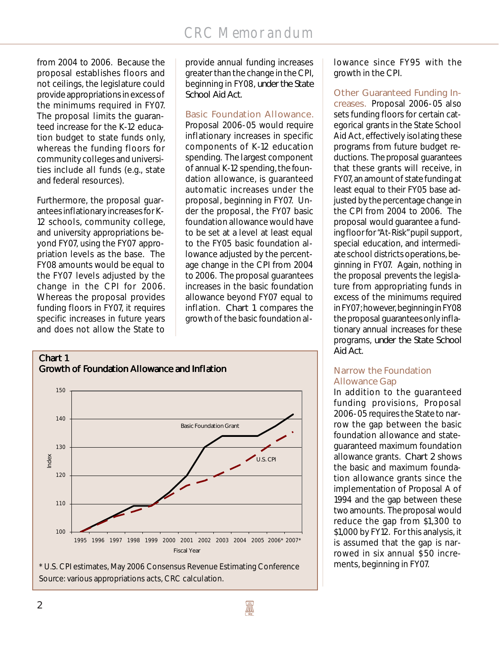from 2004 to 2006. Because the proposal establishes floors and not ceilings, the legislature could provide appropriations in excess of the minimums required in FY07. The proposal limits the guaranteed increase for the K-12 education budget to state funds only, whereas the funding floors for community colleges and universities include all funds (e.g., state and federal resources).

Furthermore, the proposal guarantees inflationary increases for K-12 schools, community college, and university appropriations beyond FY07, using the FY07 appropriation levels as the base. The FY08 amounts would be equal to the FY07 levels adjusted by the change in the CPI for 2006. Whereas the proposal provides funding floors in FY07, it requires specific increases in future years and does not allow the State to

provide annual funding increases greater than the change in the CPI, beginning in FY08, *under the State School Aid Act*.

*Basic Foundation Allowance.*

Proposal 2006-05 would require inflationary increases in specific components of K-12 education spending. The largest component of annual K-12 spending, the foundation allowance, is guaranteed automatic increases under the proposal, beginning in FY07. Under the proposal, the FY07 basic foundation allowance would have to be set at a level at least equal to the FY05 basic foundation allowance adjusted by the percentage change in the CPI from 2004 to 2006. The proposal guarantees increases in the basic foundation allowance beyond FY07 equal to inflation. *Chart 1* compares the growth of the basic foundation al-



Source: various appropriations acts, CRC calculation.

lowance since FY95 with the growth in the CPI.

*Other Guaranteed Funding Increases.*Proposal 2006-05 also sets funding floors for certain categorical grants in the State School Aid Act, effectively isolating these programs from future budget reductions. The proposal guarantees that these grants will receive, in FY07, an amount of state funding at least equal to their FY05 base adjusted by the percentage change in the CPI from 2004 to 2006. The proposal would guarantee a funding floor for "At-Risk" pupil support, special education, and intermediate school districts operations, beginning in FY07. Again, nothing in the proposal prevents the legislature from appropriating funds in excess of the minimums required in FY07; however, beginning in FY08 the proposal guarantees only inflationary annual increases for these programs, *under the State School Aid Act*.

## **Narrow the Foundation Allowance Gap**

In addition to the guaranteed funding provisions, Proposal 2006-05 requires the State to narrow the gap between the basic foundation allowance and stateguaranteed maximum foundation allowance grants. *Chart 2* shows the basic and maximum foundation allowance grants since the implementation of Proposal A of 1994 and the gap between these two amounts. The proposal would reduce the gap from \$1,300 to \$1,000 by FY12. For this analysis, it is assumed that the gap is narrowed in six annual \$50 increments, beginning in FY07.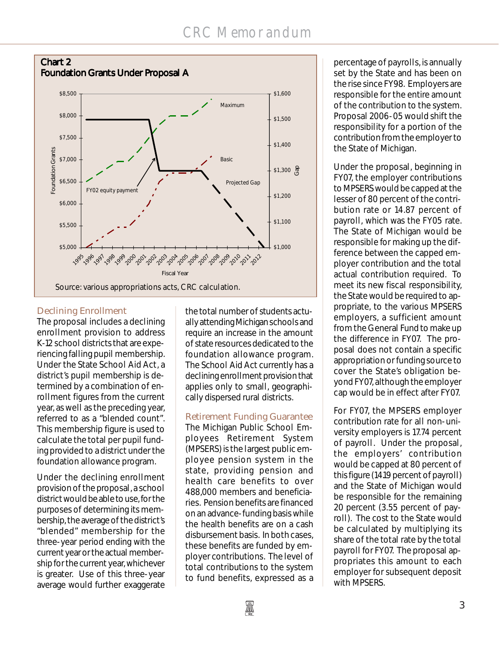

# **Declining Enrollment**

The proposal includes a declining enrollment provision to address K-12 school districts that are experiencing falling pupil membership. Under the State School Aid Act, a district's pupil membership is determined by a combination of enrollment figures from the current year, as well as the preceding year, referred to as a "blended count". This membership figure is used to calculate the total per pupil funding provided to a district under the foundation allowance program.

Under the declining enrollment provision of the proposal, a school district would be able to use, for the purposes of determining its membership, the average of the district's "blended" membership for the three-year period ending with the current year or the actual membership for the current year, whichever is greater. Use of this three-year average would further exaggerate

the total number of students actually attending Michigan schools and require an increase in the amount of state resources dedicated to the foundation allowance program. The School Aid Act currently has a declining enrollment provision that applies only to small, geographically dispersed rural districts.

**Retirement Funding Guarantee** The Michigan Public School Employees Retirement System (MPSERS) is the largest public employee pension system in the state, providing pension and health care benefits to over 488,000 members and beneficiaries. Pension benefits are financed on an advance-funding basis while the health benefits are on a cash disbursement basis. In both cases, these benefits are funded by employer contributions. The level of total contributions to the system to fund benefits, expressed as a

percentage of payrolls, is annually set by the State and has been on the rise since FY98. Employers are responsible for the entire amount of the contribution to the system. Proposal 2006-05 would shift the responsibility for a portion of the contribution from the employer to the State of Michigan.

Under the proposal, beginning in FY07, the employer contributions to MPSERS would be capped at the lesser of 80 percent of the contribution rate or 14.87 percent of payroll, which was the FY05 rate. The State of Michigan would be responsible for making up the difference between the capped employer contribution and the total actual contribution required. To meet its new fiscal responsibility, the State would be required to appropriate, to the various MPSERS employers, a sufficient amount from the General Fund to make up the difference in FY07. The proposal does not contain a specific appropriation or funding source to cover the State's obligation beyond FY07, although the employer cap would be in effect after FY07.

For FY07, the MPSERS employer contribution rate for all non-university employers is 17.74 percent of payroll. Under the proposal, the employers' contribution would be capped at 80 percent of this figure (14.19 percent of payroll) and the State of Michigan would be responsible for the remaining 20 percent (3.55 percent of payroll). The cost to the State would be calculated by multiplying its share of the total rate by the total payroll for FY07. The proposal appropriates this amount to each employer for subsequent deposit with MPSERS.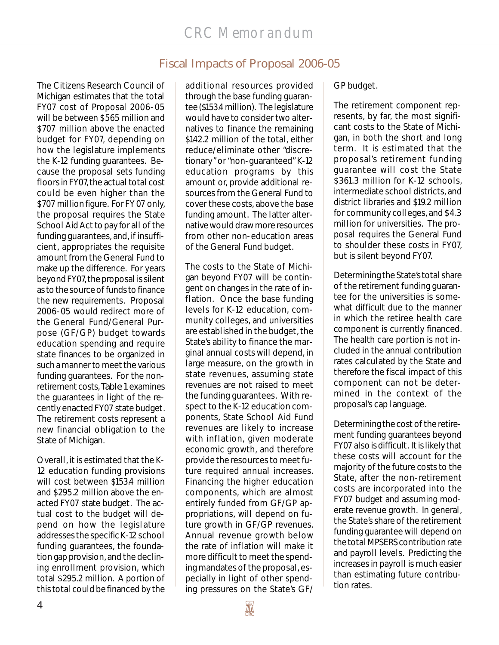# **Fiscal Impacts of Proposal 2006-05**

The Citizens Research Council of Michigan estimates that the total FY07 cost of Proposal 2006-05 will be between \$565 million and \$707 million above the enacted budget for FY07, depending on how the legislature implements the K-12 funding guarantees. Because the proposal sets funding floors in FY07, the actual total cost could be even higher than the \$707 million figure. For FY 07 only, the proposal requires the State School Aid Act to pay for all of the funding guarantees, and, if insufficient, appropriates the requisite amount from the General Fund to make up the difference. For years beyond FY07, the proposal is silent as to the source of funds to finance the new requirements. Proposal 2006-05 would redirect more of the General Fund/General Purpose (GF/GP) budget towards education spending and require state finances to be organized in such a manner to meet the various funding guarantees. For the nonretirement costs, *Table 1* examines the guarantees in light of the recently enacted FY07 state budget. The retirement costs represent a new financial obligation to the State of Michigan.

Overall, it is estimated that the K-12 education funding provisions will cost between \$153.4 million and \$295.2 million above the enacted FY07 state budget. The actual cost to the budget will depend on how the legislature addresses the specific K-12 school funding guarantees, the foundation gap provision, and the declining enrollment provision, which total \$295.2 million. A portion of this total could be financed by the

additional resources provided through the base funding guarantee (\$153.4 million). The legislature would have to consider two alternatives to finance the remaining \$142.2 million of the total, either reduce/eliminate other "discretionary" or "non-guaranteed" K-12 education programs by this amount or, provide additional resources from the General Fund to cover these costs, above the base funding amount. The latter alternative would draw more resources from other non-education areas of the General Fund budget.

The costs to the State of Michigan beyond FY07 will be contingent on changes in the rate of inflation. Once the base funding levels for K-12 education, community colleges, and universities are established in the budget, the State's ability to finance the marginal annual costs will depend, in large measure, on the growth in state revenues, assuming state revenues are not raised to meet the funding guarantees. With respect to the K-12 education components, State School Aid Fund revenues are likely to increase with inflation, given moderate economic growth, and therefore provide the resources to meet future required annual increases. Financing the higher education components, which are almost entirely funded from GF/GP appropriations, will depend on future growth in GF/GP revenues. Annual revenue growth below the rate of inflation will make it more difficult to meet the spending mandates of the proposal, especially in light of other spending pressures on the State's GF/

GP budget.

The retirement component represents, by far, the most significant costs to the State of Michigan, in both the short and long term. It is estimated that the proposal's retirement funding guarantee will cost the State \$361.3 million for K-12 schools, intermediate school districts, and district libraries and \$19.2 million for community colleges, and \$4.3 million for universities. The proposal requires the General Fund to shoulder these costs in FY07, but is silent beyond FY07.

Determining the State's total share of the retirement funding guarantee for the universities is somewhat difficult due to the manner in which the retiree health care component is currently financed. The health care portion is not included in the annual contribution rates calculated by the State and therefore the fiscal impact of this component can not be determined in the context of the proposal's cap language.

Determining the cost of the retirement funding guarantees beyond FY07 also is difficult. It is likely that these costs will account for the majority of the future costs to the State, after the non-retirement costs are incorporated into the FY07 budget and assuming moderate revenue growth. In general, the State's share of the retirement funding guarantee will depend on the total MPSERS contribution rate and payroll levels. Predicting the increases in payroll is much easier than estimating future contribution rates.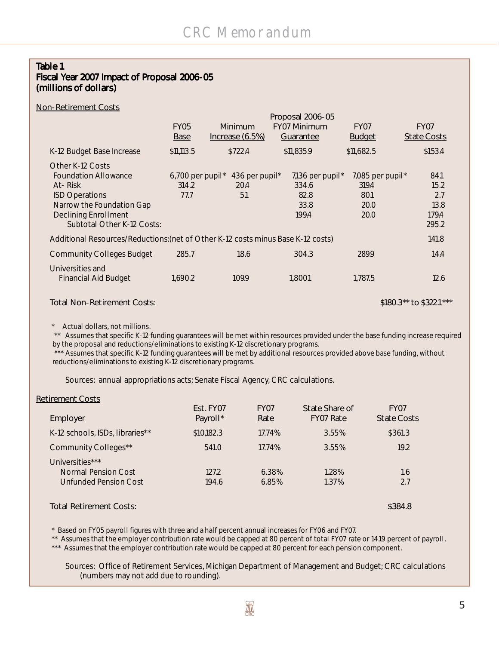#### *Table 1 Fiscal Year 2007 Impact of Proposal 2006-05 (millions of dollars)*

#### *Non-Retirement Costs*

|                                                                                                                                                                               | FY05<br>Base                                    | Minimum<br>$Increase (6.5%)$              | Proposal 2006-05<br><b>FY07 Minimum</b><br>Guarantee  | <i>FY07</i><br><b>Budget</b>                      | <i>FY07</i><br><b>State Costs</b>             |
|-------------------------------------------------------------------------------------------------------------------------------------------------------------------------------|-------------------------------------------------|-------------------------------------------|-------------------------------------------------------|---------------------------------------------------|-----------------------------------------------|
| K-12 Budget Base Increase                                                                                                                                                     | \$11,113.5                                      | \$722.4                                   | \$11,835.9                                            | \$11,682.5                                        | \$153.4                                       |
| Other K-12 Costs<br><b>Foundation Allowance</b><br>At-Risk<br><b>ISD Operations</b><br>Narrow the Foundation Gap<br><b>Declining Enrollment</b><br>Subtotal Other K-12 Costs: | $6,700$ per pupil <sup>*</sup><br>314.2<br>77.7 | 436 per pupil <sup>*</sup><br>20.4<br>5.1 | 7,136 per pupil $*$<br>334.6<br>82.8<br>33.8<br>199.4 | 7,085 per pupil*<br>319.4<br>80.1<br>20.0<br>20.0 | 84.1<br>15.2<br>2.7<br>13.8<br>179.4<br>295.2 |
| Additional Resources/Reductions: (net of Other K-12 costs minus Base K-12 costs)                                                                                              |                                                 |                                           |                                                       |                                                   | 141.8                                         |
| <b>Community Colleges Budget</b>                                                                                                                                              | 285.7                                           | 18.6                                      | 304.3                                                 | 289.9                                             | 14.4                                          |
| Universities and<br><b>Financial Aid Budget</b>                                                                                                                               | 1,690.2                                         | 109.9                                     | 1.800.1                                               | 1.787.5                                           | 12.6                                          |

#### *Total Non-Retirement Costs: \$180.3\*\* to \$322.1\*\*\**

\* Actual dollars, not millions.

 \*\* Assumes that specific K-12 funding guarantees will be met within resources provided under the base funding increase required by the proposal and reductions/eliminations to existing K-12 discretionary programs.

\*\*\* Assumes that specific K-12 funding guarantees will be met by additional resources provided above base funding, without reductions/eliminations to existing K-12 discretionary programs.

Sources: annual appropriations acts; Senate Fiscal Agency, CRC calculations.

#### *Retirement Costs*

| Employer                                                        | Est. FY07<br>Payroll* | <i>FY07</i><br>Rate | State Share of<br><b>FY07 Rate</b> | <i>FY07</i><br><i>State Costs</i> |
|-----------------------------------------------------------------|-----------------------|---------------------|------------------------------------|-----------------------------------|
| K-12 schools, ISDs, libraries**                                 | \$10,182.3            | 17.74%              | 3.55%                              | \$361.3                           |
| Community Colleges**                                            | 541.0                 | 17.74%              | 3.55%                              | 19.2                              |
| Universities***<br>Normal Pension Cost<br>Unfunded Pension Cost | 127.2<br>194.6        | 6.38%<br>6.85%      | 1.28%<br>1.37%                     | 1.6<br>2.7                        |
| Total Retirement Costs:                                         |                       |                     |                                    | \$384.8                           |

\* Based on FY05 payroll figures with three and a half percent annual increases for FY06 and FY07.

\*\* Assumes that the employer contribution rate would be capped at 80 percent of total FY07 rate or 14.19 percent of payroll.

\*\*\* Assumes that the employer contribution rate would be capped at 80 percent for each pension component.

Sources:Office of Retirement Services, Michigan Department of Management and Budget; CRC calculations (numbers may not add due to rounding).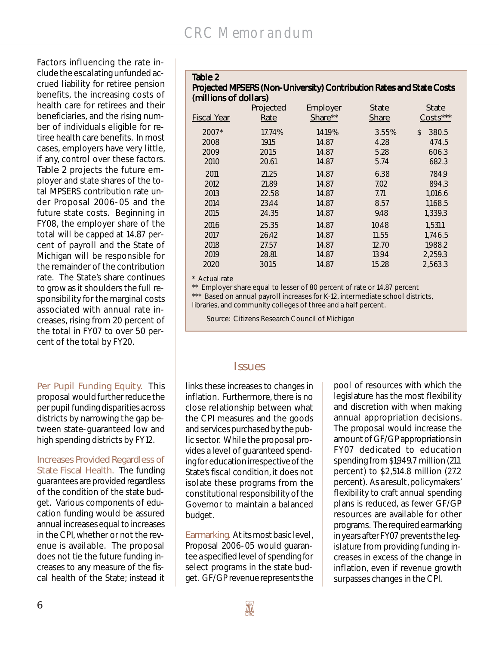Factors influencing the rate include the escalating unfunded accrued liability for retiree pension benefits, the increasing costs of health care for retirees and their beneficiaries, and the rising number of individuals eligible for retiree health care benefits. In most cases, employers have very little, if any, control over these factors. *Table 2* projects the future employer and state shares of the total MPSERS contribution rate under Proposal 2006-05 and the future state costs. Beginning in FY08, the employer share of the total will be capped at 14.87 percent of payroll and the State of Michigan will be responsible for the remainder of the contribution rate. The State's share continues to grow as it shoulders the full responsibility for the marginal costs associated with annual rate increases, rising from 20 percent of the total in FY07 to over 50 percent of the total by FY20.

*Per Pupil Funding Equity.*This proposal would further reduce the per pupil funding disparities across districts by narrowing the gap between state-guaranteed low and high spending districts by FY12.

*Increases Provided Regardless of State Fiscal Health.*The funding guarantees are provided regardless of the condition of the state budget. Various components of education funding would be assured annual increases equal to increases in the CPI, whether or not the revenue is available. The proposal does not tie the future funding increases to any measure of the fiscal health of the State; instead it

## *Table 2*

# **Projected MPSERS (Non-University) Contribution Rates and State Costs** *(millions of dollars)*

| <b>Fiscal Year</b>            | Projected                         | Employer                          | <i>State</i>                  | State                                  |
|-------------------------------|-----------------------------------|-----------------------------------|-------------------------------|----------------------------------------|
|                               | Rate                              | Share**                           | <b>Share</b>                  | $Costs***$                             |
| 2007*<br>2008<br>2009<br>2010 | 17.74%<br>19.15<br>20.15<br>20.61 | 14.19%<br>14.87<br>14.87<br>14.87 | 3.55%<br>4.28<br>5.28<br>5.74 | \$<br>380.5<br>474.5<br>606.3<br>682.3 |
| 2011                          | 21.25                             | 14.87                             | 6.38                          | 784.9                                  |
| 2012                          | 21.89                             | 14.87                             | 7.02                          | 894.3                                  |
| 2013                          | 22.58                             | 14.87                             | 7.71                          | 1,016.6                                |
| 2014                          | 23.44                             | 14.87                             | 8.57                          | 1,168.5                                |
| 2015                          | 24.35                             | 14.87                             | 9.48                          | 1,339.3                                |
| 2016                          | 25.35                             | 14.87                             | 10.48                         | 1,531.1                                |
| 2017                          | 26.42                             | 14.87                             | 11.55                         | 1,746.5                                |
| 2018                          | 27.57                             | 14.87                             | 12.70                         | 1,988.2                                |
| 2019                          | 28.81                             | 14.87                             | 13.94                         | 2.259.3                                |
| 2020                          | 30.15                             | 14.87                             | 15.28                         | 2,563.3                                |

\* Actual rate

\*\* Employer share equal to lesser of 80 percent of rate or 14.87 percent \*\*\* Based on annual payroll increases for K-12, intermediate school districts, libraries, and community colleges of three and a half percent.

Source: Citizens Research Council of Michigan

# **Issues**

links these increases to changes in inflation. Furthermore, there is no close relationship between what the CPI measures and the goods and services purchased by the public sector. While the proposal provides a level of guaranteed spending for education irrespective of the State's fiscal condition, it does not isolate these programs from the constitutional responsibility of the Governor to maintain a balanced budget.

*Earmarking.* At its most basic level, Proposal 2006-05 would guarantee a specified level of spending for select programs in the state budget. GF/GP revenue represents the

pool of resources with which the legislature has the most flexibility and discretion with when making annual appropriation decisions. The proposal would increase the amount of GF/GP appropriations in FY07 dedicated to education spending from \$1,949.7 million (21.1 percent) to \$2,514.8 million (27.2 percent). As a result, policymakers' flexibility to craft annual spending plans is reduced, as fewer GF/GP resources are available for other programs. The required earmarking in years after FY07 prevents the legislature from providing funding increases in excess of the change in inflation, even if revenue growth surpasses changes in the CPI.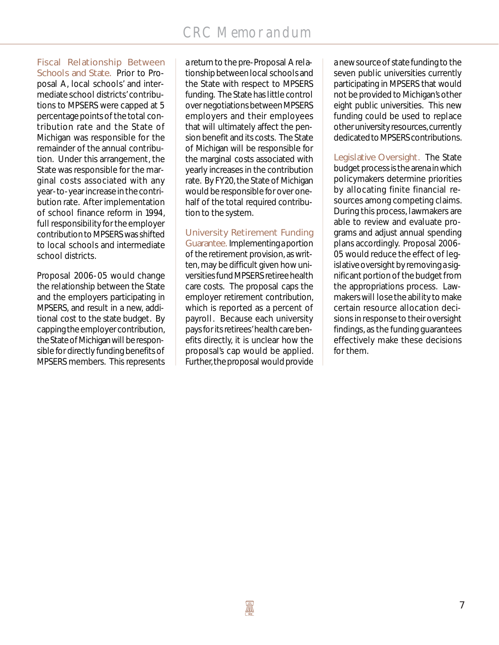#### *Fiscal Relationship Between Schools and State.* Prior to Pro-

posal A, local schools' and intermediate school districts' contributions to MPSERS were capped at 5 percentage points of the total contribution rate and the State of Michigan was responsible for the remainder of the annual contribution. Under this arrangement, the State was responsible for the marginal costs associated with any year-to-year increase in the contribution rate. After implementation of school finance reform in 1994, full responsibility for the employer contribution to MPSERS was shifted to local schools and intermediate school districts.

Proposal 2006-05 would change the relationship between the State and the employers participating in MPSERS, and result in a new, additional cost to the state budget. By capping the employer contribution, the State of Michigan will be responsible for directly funding benefits of MPSERS members. This represents a return to the pre-Proposal A relationship between local schools and the State with respect to MPSERS funding. The State has little control over negotiations between MPSERS employers and their employees that will ultimately affect the pension benefit and its costs. The State of Michigan will be responsible for the marginal costs associated with yearly increases in the contribution rate. By FY20, the State of Michigan would be responsible for over onehalf of the total required contribution to the system.

*University Retirement Funding Guarantee.* Implementing a portion of the retirement provision, as written, may be difficult given how universities fund MPSERS retiree health care costs. The proposal caps the employer retirement contribution, which is reported as a percent of payroll. Because each university pays for its retirees' health care benefits directly, it is unclear how the proposal's cap would be applied. Further, the proposal would provide

a new source of state funding to the seven public universities currently participating in MPSERS that would not be provided to Michigan's other eight public universities. This new funding could be used to replace other university resources, currently dedicated to MPSERS contributions.

*Legislative Oversight.* The State budget process is the arena in which policymakers determine priorities by allocating finite financial resources among competing claims. During this process, lawmakers are able to review and evaluate programs and adjust annual spending plans accordingly. Proposal 2006- 05 would reduce the effect of legislative oversight by removing a significant portion of the budget from the appropriations process. Lawmakers will lose the ability to make certain resource allocation decisions in response to their oversight findings, as the funding guarantees effectively make these decisions for them.